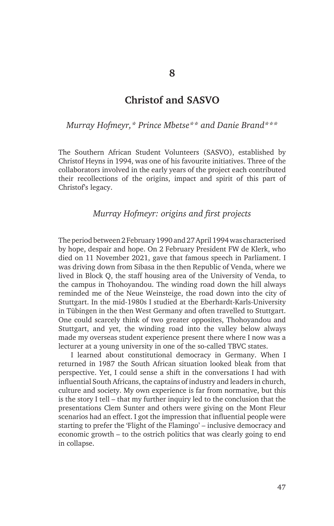## **Christof and SASVO**

*Murray Hofmeyr,\* Prince Mbetse\*\* and Danie Brand\*\*\**

The Southern African Student Volunteers (SASVO), established by Christof Heyns in 1994, was one of his favourite initiatives. Three of the collaborators involved in the early years of the project each contributed their recollections of the origins, impact and spirit of this part of Christof's legacy.

## *Murray Hofmeyr: origins and first projects*

The period between 2 February 1990 and 27 April 1994 was characterised by hope, despair and hope. On 2 February President FW de Klerk, who died on 11 November 2021, gave that famous speech in Parliament. I was driving down from Sibasa in the then Republic of Venda, where we lived in Block Q, the staff housing area of the University of Venda, to the campus in Thohoyandou. The winding road down the hill always reminded me of the Neue Weinsteige, the road down into the city of Stuttgart. In the mid-1980s I studied at the Eberhardt-Karls-University in Tübingen in the then West Germany and often travelled to Stuttgart. One could scarcely think of two greater opposites, Thohoyandou and Stuttgart, and yet, the winding road into the valley below always made my overseas student experience present there where I now was a lecturer at a young university in one of the so-called TBVC states.

I learned about constitutional democracy in Germany. When I returned in 1987 the South African situation looked bleak from that perspective. Yet, I could sense a shift in the conversations I had with influential South Africans, the captains of industry and leaders in church, culture and society. My own experience is far from normative, but this is the story I tell – that my further inquiry led to the conclusion that the presentations Clem Sunter and others were giving on the Mont Fleur scenarios had an effect. I got the impression that influential people were starting to prefer the 'Flight of the Flamingo' – inclusive democracy and economic growth – to the ostrich politics that was clearly going to end in collapse.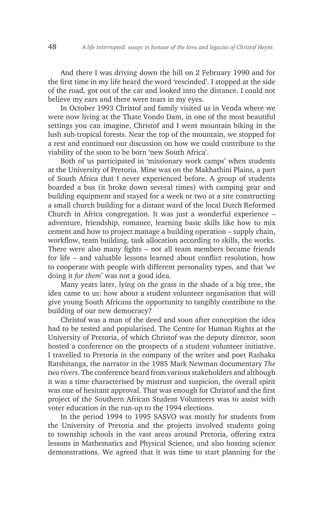And there I was driving down the hill on 2 February 1990 and for the first time in my life heard the word 'rescinded'. I stopped at the side of the road, got out of the car and looked into the distance. I could not believe my ears and there were tears in my eyes.

In October 1993 Christof and family visited us in Venda where we were now living at the Thate Vondo Dam, in one of the most beautiful settings you can imagine. Christof and I went mountain biking in the lush sub-tropical forests. Near the top of the mountain, we stopped for a rest and continued our discussion on how we could contribute to the viability of the soon to be born 'new South Africa'.

Both of us participated in 'missionary work camps' when students at the University of Pretoria. Mine was on the Makhathini Plains, a part of South Africa that I never experienced before. A group of students boarded a bus (it broke down several times) with camping gear and building equipment and stayed for a week or two at a site constructing a small church building for a distant ward of the local Dutch Reformed Church in Africa congregation. It was just a wonderful experience – adventure, friendship, romance, learning basic skills like how to mix cement and how to project manage a building operation – supply chain, workflow, team building, task allocation according to skills, the works. There were also many fights – not all team members became friends for life – and valuable lessons learned about conflict resolution, how to cooperate with people with different personality types, and that '*we* doing it *for them*' was not a good idea.

Many years later, lying on the grass in the shade of a big tree, the idea came to us: how about a student volunteer organisation that will give young South Africans the opportunity to tangibly contribute to the building of our new democracy?

Christof was a man of the deed and soon after conception the idea had to be tested and popularised. The Centre for Human Rights at the University of Pretoria, of which Christof was the deputy director, soon hosted a conference on the prospects of a student volunteer initiative. I travelled to Pretoria in the company of the writer and poet Rashaka Ratshitanga, the narrator in the 1985 Mark Newman documentary *The two rivers*. The conference heard from various stakeholders and although it was a time characterised by mistrust and suspicion, the overall spirit was one of hesitant approval. That was enough for Christof and the first project of the Southern African Student Volunteers was to assist with voter education in the run-up to the 1994 elections.

In the period 1994 to 1995 SASVO was mostly for students from the University of Pretoria and the projects involved students going to township schools in the vast areas around Pretoria, offering extra lessons in Mathematics and Physical Science, and also hosting science demonstrations. We agreed that it was time to start planning for the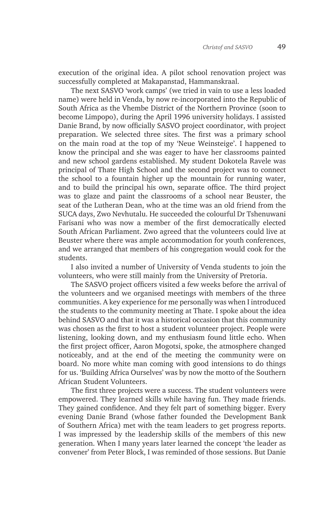execution of the original idea. A pilot school renovation project was successfully completed at Makapanstad, Hammanskraal.

The next SASVO 'work camps' (we tried in vain to use a less loaded name) were held in Venda, by now re-incorporated into the Republic of South Africa as the Vhembe District of the Northern Province (soon to become Limpopo), during the April 1996 university holidays. I assisted Danie Brand, by now officially SASVO project coordinator, with project preparation. We selected three sites. The first was a primary school on the main road at the top of my 'Neue Weinsteige'. I happened to know the principal and she was eager to have her classrooms painted and new school gardens established. My student Dokotela Ravele was principal of Thate High School and the second project was to connect the school to a fountain higher up the mountain for running water, and to build the principal his own, separate office. The third project was to glaze and paint the classrooms of a school near Beuster, the seat of the Lutheran Dean, who at the time was an old friend from the SUCA days, Zwo Nevhutalu. He succeeded the colourful Dr Tshenuwani Farisani who was now a member of the first democratically elected South African Parliament. Zwo agreed that the volunteers could live at Beuster where there was ample accommodation for youth conferences, and we arranged that members of his congregation would cook for the students.

I also invited a number of University of Venda students to join the volunteers, who were still mainly from the University of Pretoria.

The SASVO project officers visited a few weeks before the arrival of the volunteers and we organised meetings with members of the three communities. A key experience for me personally was when I introduced the students to the community meeting at Thate. I spoke about the idea behind SASVO and that it was a historical occasion that this community was chosen as the first to host a student volunteer project. People were listening, looking down, and my enthusiasm found little echo. When the first project officer, Aaron Mogotsi, spoke, the atmosphere changed noticeably, and at the end of the meeting the community were on board. No more white man coming with good intensions to do things for us. 'Building Africa Ourselves' was by now the motto of the Southern African Student Volunteers.

The first three projects were a success. The student volunteers were empowered. They learned skills while having fun. They made friends. They gained confidence. And they felt part of something bigger. Every evening Danie Brand (whose father founded the Development Bank of Southern Africa) met with the team leaders to get progress reports. I was impressed by the leadership skills of the members of this new generation. When I many years later learned the concept 'the leader as convener' from Peter Block, I was reminded of those sessions. But Danie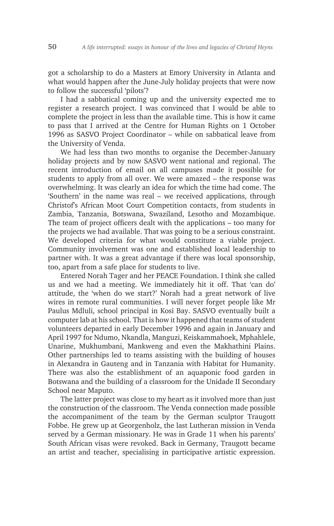got a scholarship to do a Masters at Emory University in Atlanta and what would happen after the June-July holiday projects that were now to follow the successful 'pilots'?

I had a sabbatical coming up and the university expected me to register a research project. I was convinced that I would be able to complete the project in less than the available time. This is how it came to pass that I arrived at the Centre for Human Rights on 1 October 1996 as SASVO Project Coordinator – while on sabbatical leave from the University of Venda.

We had less than two months to organise the December-January holiday projects and by now SASVO went national and regional. The recent introduction of email on all campuses made it possible for students to apply from all over. We were amazed – the response was overwhelming. It was clearly an idea for which the time had come. The 'Southern' in the name was real – we received applications, through Christof's African Moot Court Competition contacts, from students in Zambia, Tanzania, Botswana, Swaziland, Lesotho and Mozambique. The team of project officers dealt with the applications – too many for the projects we had available. That was going to be a serious constraint. We developed criteria for what would constitute a viable project. Community involvement was one and established local leadership to partner with. It was a great advantage if there was local sponsorship, too, apart from a safe place for students to live.

Entered Norah Tager and her PEACE Foundation. I think she called us and we had a meeting. We immediately hit it off. That 'can do' attitude, the 'when do we start?' Norah had a great network of live wires in remote rural communities. I will never forget people like Mr Paulus Mdluli, school principal in Kosi Bay. SASVO eventually built a computer lab at his school. That is how it happened that teams of student volunteers departed in early December 1996 and again in January and April 1997 for Ndumo, Nkandla, Manguzi, Keiskammahoek, Mphahlele, Unarine, Mukhumbani, Mankweng and even the Makhathini Plains. Other partnerships led to teams assisting with the building of houses in Alexandra in Gauteng and in Tanzania with Habitat for Humanity. There was also the establishment of an aquaponic food garden in Botswana and the building of a classroom for the Unidade II Secondary School near Maputo.

The latter project was close to my heart as it involved more than just the construction of the classroom. The Venda connection made possible the accompaniment of the team by the German sculptor Traugott Fobbe. He grew up at Georgenholz, the last Lutheran mission in Venda served by a German missionary. He was in Grade 11 when his parents' South African visas were revoked. Back in Germany, Traugott became an artist and teacher, specialising in participative artistic expression.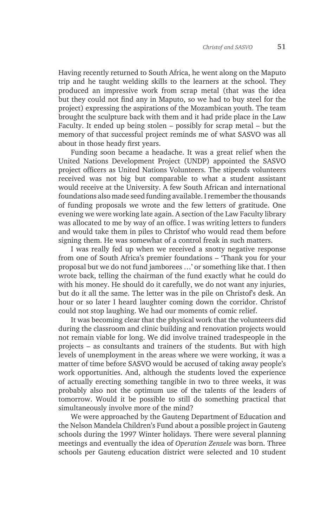Having recently returned to South Africa, he went along on the Maputo trip and he taught welding skills to the learners at the school. They produced an impressive work from scrap metal (that was the idea but they could not find any in Maputo, so we had to buy steel for the project) expressing the aspirations of the Mozambican youth. The team brought the sculpture back with them and it had pride place in the Law Faculty. It ended up being stolen – possibly for scrap metal – but the memory of that successful project reminds me of what SASVO was all about in those heady first years.

Funding soon became a headache. It was a great relief when the United Nations Development Project (UNDP) appointed the SASVO project officers as United Nations Volunteers. The stipends volunteers received was not big but comparable to what a student assistant would receive at the University. A few South African and international foundations also made seed funding available. I remember the thousands of funding proposals we wrote and the few letters of gratitude. One evening we were working late again. A section of the Law Faculty library was allocated to me by way of an office. I was writing letters to funders and would take them in piles to Christof who would read them before signing them. He was somewhat of a control freak in such matters.

I was really fed up when we received a snotty negative response from one of South Africa's premier foundations – 'Thank you for your proposal but we do not fund jamborees …' or something like that. I then wrote back, telling the chairman of the fund exactly what he could do with his money. He should do it carefully, we do not want any injuries, but do it all the same. The letter was in the pile on Christof's desk. An hour or so later I heard laughter coming down the corridor. Christof could not stop laughing. We had our moments of comic relief.

It was becoming clear that the physical work that the volunteers did during the classroom and clinic building and renovation projects would not remain viable for long. We did involve trained tradespeople in the projects – as consultants and trainers of the students. But with high levels of unemployment in the areas where we were working, it was a matter of time before SASVO would be accused of taking away people's work opportunities. And, although the students loved the experience of actually erecting something tangible in two to three weeks, it was probably also not the optimum use of the talents of the leaders of tomorrow. Would it be possible to still do something practical that simultaneously involve more of the mind?

We were approached by the Gauteng Department of Education and the Nelson Mandela Children's Fund about a possible project in Gauteng schools during the 1997 Winter holidays. There were several planning meetings and eventually the idea of *Operation Zenzele* was born. Three schools per Gauteng education district were selected and 10 student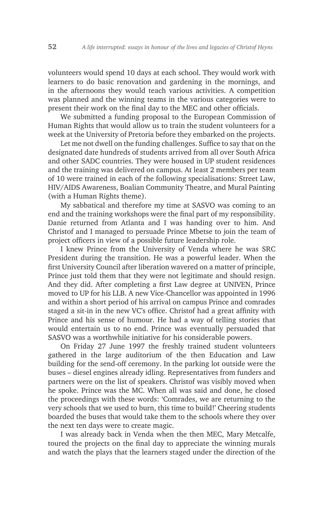volunteers would spend 10 days at each school. They would work with learners to do basic renovation and gardening in the mornings, and in the afternoons they would teach various activities. A competition was planned and the winning teams in the various categories were to present their work on the final day to the MEC and other officials.

We submitted a funding proposal to the European Commission of Human Rights that would allow us to train the student volunteers for a week at the University of Pretoria before they embarked on the projects.

Let me not dwell on the funding challenges. Suffice to say that on the designated date hundreds of students arrived from all over South Africa and other SADC countries. They were housed in UP student residences and the training was delivered on campus. At least 2 members per team of 10 were trained in each of the following specialisations: Street Law, HIV/AIDS Awareness, Boalian Community Theatre, and Mural Painting (with a Human Rights theme).

My sabbatical and therefore my time at SASVO was coming to an end and the training workshops were the final part of my responsibility. Danie returned from Atlanta and I was handing over to him. And Christof and I managed to persuade Prince Mbetse to join the team of project officers in view of a possible future leadership role.

I knew Prince from the University of Venda where he was SRC President during the transition. He was a powerful leader. When the first University Council after liberation wavered on a matter of principle, Prince just told them that they were not legitimate and should resign. And they did. After completing a first Law degree at UNIVEN, Prince moved to UP for his LLB. A new Vice-Chancellor was appointed in 1996 and within a short period of his arrival on campus Prince and comrades staged a sit-in in the new VC's office. Christof had a great affinity with Prince and his sense of humour. He had a way of telling stories that would entertain us to no end. Prince was eventually persuaded that SASVO was a worthwhile initiative for his considerable powers.

On Friday 27 June 1997 the freshly trained student volunteers gathered in the large auditorium of the then Education and Law building for the send-off ceremony. In the parking lot outside were the buses – diesel engines already idling. Representatives from funders and partners were on the list of speakers. Christof was visibly moved when he spoke. Prince was the MC. When all was said and done, he closed the proceedings with these words: 'Comrades, we are returning to the very schools that we used to burn, this time to build!' Cheering students boarded the buses that would take them to the schools where they over the next ten days were to create magic.

I was already back in Venda when the then MEC, Mary Metcalfe, toured the projects on the final day to appreciate the winning murals and watch the plays that the learners staged under the direction of the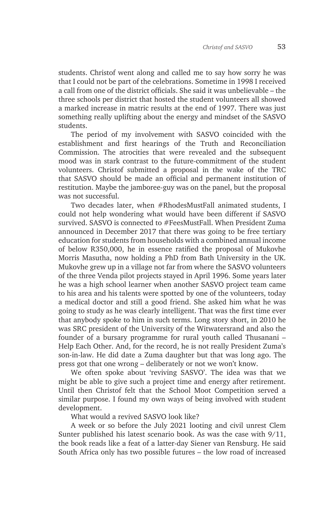students. Christof went along and called me to say how sorry he was that I could not be part of the celebrations. Sometime in 1998 I received a call from one of the district officials. She said it was unbelievable – the three schools per district that hosted the student volunteers all showed a marked increase in matric results at the end of 1997. There was just something really uplifting about the energy and mindset of the SASVO students.

The period of my involvement with SASVO coincided with the establishment and first hearings of the Truth and Reconciliation Commission. The atrocities that were revealed and the subsequent mood was in stark contrast to the future-commitment of the student volunteers. Christof submitted a proposal in the wake of the TRC that SASVO should be made an official and permanent institution of restitution. Maybe the jamboree-guy was on the panel, but the proposal was not successful.

Two decades later, when #RhodesMustFall animated students, I could not help wondering what would have been different if SASVO survived. SASVO is connected to #FeesMustFall. When President Zuma announced in December 2017 that there was going to be free tertiary education for students from households with a combined annual income of below R350,000, he in essence ratified the proposal of Mukovhe Morris Masutha, now holding a PhD from Bath University in the UK. Mukovhe grew up in a village not far from where the SASVO volunteers of the three Venda pilot projects stayed in April 1996. Some years later he was a high school learner when another SASVO project team came to his area and his talents were spotted by one of the volunteers, today a medical doctor and still a good friend. She asked him what he was going to study as he was clearly intelligent. That was the first time ever that anybody spoke to him in such terms. Long story short, in 2010 he was SRC president of the University of the Witwatersrand and also the founder of a bursary programme for rural youth called Thusanani – Help Each Other. And, for the record, he is not really President Zuma's son-in-law. He did date a Zuma daughter but that was long ago. The press got that one wrong – deliberately or not we won't know.

We often spoke about 'reviving SASVO'. The idea was that we might be able to give such a project time and energy after retirement. Until then Christof felt that the School Moot Competition served a similar purpose. I found my own ways of being involved with student development.

What would a revived SASVO look like?

A week or so before the July 2021 looting and civil unrest Clem Sunter published his latest scenario book. As was the case with 9/11, the book reads like a feat of a latter-day Siener van Rensburg. He said South Africa only has two possible futures – the low road of increased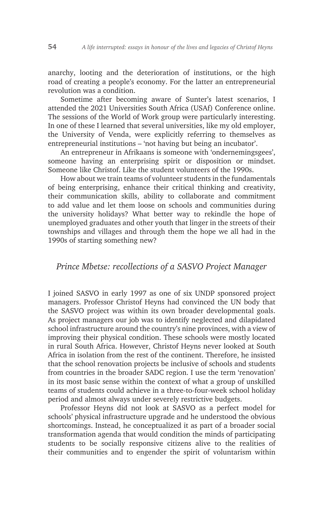anarchy, looting and the deterioration of institutions, or the high road of creating a people's economy. For the latter an entrepreneurial revolution was a condition.

Sometime after becoming aware of Sunter's latest scenarios, I attended the 2021 Universities South Africa (USAf) Conference online. The sessions of the World of Work group were particularly interesting. In one of these I learned that several universities, like my old employer, the University of Venda, were explicitly referring to themselves as entrepreneurial institutions – 'not having but being an incubator'.

An entrepreneur in Afrikaans is someone with 'ondernemingsgees', someone having an enterprising spirit or disposition or mindset. Someone like Christof. Like the student volunteers of the 1990s.

How about we train teams of volunteer students in the fundamentals of being enterprising, enhance their critical thinking and creativity, their communication skills, ability to collaborate and commitment to add value and let them loose on schools and communities during the university holidays? What better way to rekindle the hope of unemployed graduates and other youth that linger in the streets of their townships and villages and through them the hope we all had in the 1990s of starting something new?

## *Prince Mbetse: recollections of a SASVO Project Manager*

I joined SASVO in early 1997 as one of six UNDP sponsored project managers. Professor Christof Heyns had convinced the UN body that the SASVO project was within its own broader developmental goals. As project managers our job was to identify neglected and dilapidated school infrastructure around the country's nine provinces, with a view of improving their physical condition. These schools were mostly located in rural South Africa. However, Christof Heyns never looked at South Africa in isolation from the rest of the continent. Therefore, he insisted that the school renovation projects be inclusive of schools and students from countries in the broader SADC region. I use the term 'renovation' in its most basic sense within the context of what a group of unskilled teams of students could achieve in a three-to-four-week school holiday period and almost always under severely restrictive budgets.

Professor Heyns did not look at SASVO as a perfect model for schools' physical infrastructure upgrade and he understood the obvious shortcomings. Instead, he conceptualized it as part of a broader social transformation agenda that would condition the minds of participating students to be socially responsive citizens alive to the realities of their communities and to engender the spirit of voluntarism within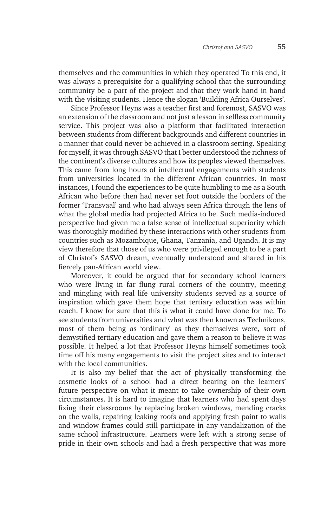themselves and the communities in which they operated To this end, it was always a prerequisite for a qualifying school that the surrounding community be a part of the project and that they work hand in hand with the visiting students. Hence the slogan 'Building Africa Ourselves'.

Since Professor Heyns was a teacher first and foremost, SASVO was an extension of the classroom and not just a lesson in selfless community service. This project was also a platform that facilitated interaction between students from different backgrounds and different countries in a manner that could never be achieved in a classroom setting. Speaking for myself, it was through SASVO that I better understood the richness of the continent's diverse cultures and how its peoples viewed themselves. This came from long hours of intellectual engagements with students from universities located in the different African countries. In most instances, I found the experiences to be quite humbling to me as a South African who before then had never set foot outside the borders of the former 'Transvaal' and who had always seen Africa through the lens of what the global media had projected Africa to be. Such media-induced perspective had given me a false sense of intellectual superiority which was thoroughly modified by these interactions with other students from countries such as Mozambique, Ghana, Tanzania, and Uganda. It is my view therefore that those of us who were privileged enough to be a part of Christof's SASVO dream, eventually understood and shared in his fiercely pan-African world view.

Moreover, it could be argued that for secondary school learners who were living in far flung rural corners of the country, meeting and mingling with real life university students served as a source of inspiration which gave them hope that tertiary education was within reach. I know for sure that this is what it could have done for me. To see students from universities and what was then known as Technikons, most of them being as 'ordinary' as they themselves were, sort of demystified tertiary education and gave them a reason to believe it was possible. It helped a lot that Professor Heyns himself sometimes took time off his many engagements to visit the project sites and to interact with the local communities.

It is also my belief that the act of physically transforming the cosmetic looks of a school had a direct bearing on the learners' future perspective on what it meant to take ownership of their own circumstances. It is hard to imagine that learners who had spent days fixing their classrooms by replacing broken windows, mending cracks on the walls, repairing leaking roofs and applying fresh paint to walls and window frames could still participate in any vandalization of the same school infrastructure. Learners were left with a strong sense of pride in their own schools and had a fresh perspective that was more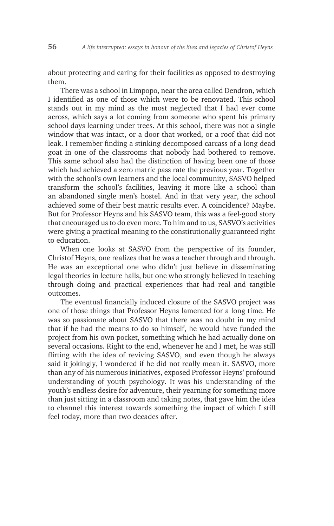about protecting and caring for their facilities as opposed to destroying them.

There was a school in Limpopo, near the area called Dendron, which I identified as one of those which were to be renovated. This school stands out in my mind as the most neglected that I had ever come across, which says a lot coming from someone who spent his primary school days learning under trees. At this school, there was not a single window that was intact, or a door that worked, or a roof that did not leak. I remember finding a stinking decomposed carcass of a long dead goat in one of the classrooms that nobody had bothered to remove. This same school also had the distinction of having been one of those which had achieved a zero matric pass rate the previous year. Together with the school's own learners and the local community, SASVO helped transform the school's facilities, leaving it more like a school than an abandoned single men's hostel. And in that very year, the school achieved some of their best matric results ever. A coincidence? Maybe. But for Professor Heyns and his SASVO team, this was a feel-good story that encouraged us to do even more. To him and to us, SASVO's activities were giving a practical meaning to the constitutionally guaranteed right to education.

When one looks at SASVO from the perspective of its founder, Christof Heyns, one realizes that he was a teacher through and through. He was an exceptional one who didn't just believe in disseminating legal theories in lecture halls, but one who strongly believed in teaching through doing and practical experiences that had real and tangible outcomes.

The eventual financially induced closure of the SASVO project was one of those things that Professor Heyns lamented for a long time. He was so passionate about SASVO that there was no doubt in my mind that if he had the means to do so himself, he would have funded the project from his own pocket, something which he had actually done on several occasions. Right to the end, whenever he and I met, he was still flirting with the idea of reviving SASVO, and even though he always said it jokingly, I wondered if he did not really mean it. SASVO, more than any of his numerous initiatives, exposed Professor Heyns' profound understanding of youth psychology. It was his understanding of the youth's endless desire for adventure, their yearning for something more than just sitting in a classroom and taking notes, that gave him the idea to channel this interest towards something the impact of which I still feel today, more than two decades after.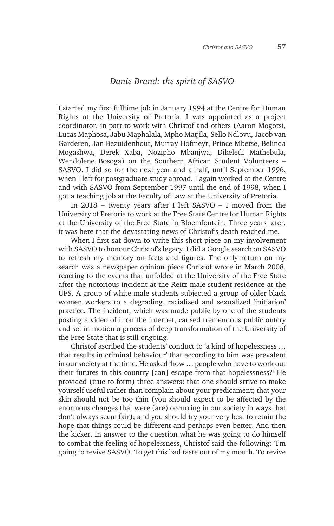## *Danie Brand: the spirit of SASVO*

I started my first fulltime job in January 1994 at the Centre for Human Rights at the University of Pretoria. I was appointed as a project coordinator, in part to work with Christof and others (Aaron Mogotsi, Lucas Maphosa, Jabu Maphalala, Mpho Matjila, Sello Ndlovu, Jacob van Garderen, Jan Bezuidenhout, Murray Hofmeyr, Prince Mbetse, Belinda Mogashwa, Derek Xaba, Nozipho Mbanjwa, Dikeledi Mathebula, Wendolene Bosoga) on the Southern African Student Volunteers – SASVO. I did so for the next year and a half, until September 1996, when I left for postgraduate study abroad. I again worked at the Centre and with SASVO from September 1997 until the end of 1998, when I got a teaching job at the Faculty of Law at the University of Pretoria.

In 2018 – twenty years after I left SASVO – I moved from the University of Pretoria to work at the Free State Centre for Human Rights at the University of the Free State in Bloemfontein. Three years later, it was here that the devastating news of Christof's death reached me.

When I first sat down to write this short piece on my involvement with SASVO to honour Christof's legacy, I did a Google search on SASVO to refresh my memory on facts and figures. The only return on my search was a newspaper opinion piece Christof wrote in March 2008, reacting to the events that unfolded at the University of the Free State after the notorious incident at the Reitz male student residence at the UFS. A group of white male students subjected a group of older black women workers to a degrading, racialized and sexualized 'initiation' practice. The incident, which was made public by one of the students posting a video of it on the internet, caused tremendous public outcry and set in motion a process of deep transformation of the University of the Free State that is still ongoing.

Christof ascribed the students' conduct to 'a kind of hopelessness … that results in criminal behaviour' that according to him was prevalent in our society at the time. He asked 'how … people who have to work out their futures in this country [can] escape from that hopelessness?' He provided (true to form) three answers: that one should strive to make yourself useful rather than complain about your predicament; that your skin should not be too thin (you should expect to be affected by the enormous changes that were (are) occurring in our society in ways that don't always seem fair); and you should try your very best to retain the hope that things could be different and perhaps even better. And then the kicker. In answer to the question what he was going to do himself to combat the feeling of hopelessness, Christof said the following: 'I'm going to revive SASVO. To get this bad taste out of my mouth. To revive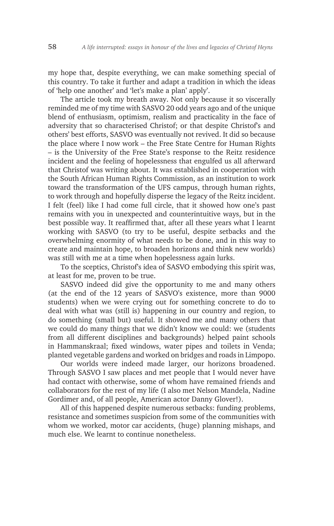my hope that, despite everything, we can make something special of this country. To take it further and adapt a tradition in which the ideas of 'help one another' and 'let's make a plan' apply'.

The article took my breath away. Not only because it so viscerally reminded me of my time with SASVO 20 odd years ago and of the unique blend of enthusiasm, optimism, realism and practicality in the face of adversity that so characterised Christof; or that despite Christof's and others' best efforts, SASVO was eventually not revived. It did so because the place where I now work – the Free State Centre for Human Rights – is the University of the Free State's response to the Reitz residence incident and the feeling of hopelessness that engulfed us all afterward that Christof was writing about. It was established in cooperation with the South African Human Rights Commission, as an institution to work toward the transformation of the UFS campus, through human rights, to work through and hopefully disperse the legacy of the Reitz incident. I felt (feel) like I had come full circle, that it showed how one's past remains with you in unexpected and counterintuitive ways, but in the best possible way. It reaffirmed that, after all these years what I learnt working with SASVO (to try to be useful, despite setbacks and the overwhelming enormity of what needs to be done, and in this way to create and maintain hope, to broaden horizons and think new worlds) was still with me at a time when hopelessness again lurks.

To the sceptics, Christof's idea of SASVO embodying this spirit was, at least for me, proven to be true.

SASVO indeed did give the opportunity to me and many others (at the end of the 12 years of SASVO's existence, more than 9000 students) when we were crying out for something concrete to do to deal with what was (still is) happening in our country and region, to do something (small but) useful. It showed me and many others that we could do many things that we didn't know we could: we (students from all different disciplines and backgrounds) helped paint schools in Hammanskraal; fixed windows, water pipes and toilets in Venda; planted vegetable gardens and worked on bridges and roads in Limpopo.

Our worlds were indeed made larger, our horizons broadened. Through SASVO I saw places and met people that I would never have had contact with otherwise, some of whom have remained friends and collaborators for the rest of my life (I also met Nelson Mandela, Nadine Gordimer and, of all people, American actor Danny Glover!).

All of this happened despite numerous setbacks: funding problems, resistance and sometimes suspicion from some of the communities with whom we worked, motor car accidents, (huge) planning mishaps, and much else. We learnt to continue nonetheless.